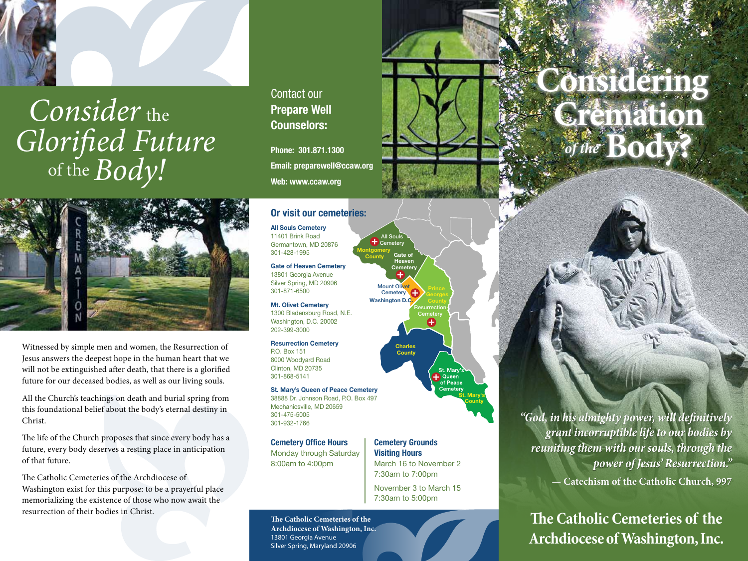

# of the Consider the *Glorified Future Phone: 301.871.1300*<br> *S* of the Body!



Witnessed by simple men and women, the Resurrection of Jesus answers the deepest hope in the human heart that we will not be extinguished after death, that there is a glorified future for our deceased bodies, as well as our living souls.

All the Church's teachings on death and burial spring from this foundational belief about the body's eternal destiny in Christ.

The life of the Church proposes that since every body has a future, every body deserves a resting place in anticipation of that future.

The Catholic Cemeteries of the Archdiocese of Washington exist for this purpose: to be a prayerful place memorializing the existence of those who now await the resurrection of their bodies in Christ.

### Contact our **Prepare Well** Counselors:

Phone: 301.871.1300 Email: preparewell@ccaw.org Web: www.ccaw.org

### Or visit our cemeteries:

**Montgomery County** 

Washington D.C

Mount Olivet Cemetery **C** 

Gate of Heaven **Cemete** 

89

All Souls Cemetery

All Souls Cemetery 11401 Brink Road Germantown, MD 20876 301-428-1995

Gate of Heaven Cemetery 13801 Georgia Avenue Silver Spring, MD 20906 301-871-6500

Mt. Olivet Cemetery 1300 Bladensburg Road, N.E. Washington, D.C. 20002 202-399-3000

Resurrection Cemetery P.O. Box 151 8000 Woodyard Road Clinton, MD 20735 301-868-5141

#### St. Mary's Queen of Peace Cemetery 38888 Dr. Johnson Road, P.O. Box 497 Mechanicsville, MD 20659

301-475-5005 301-932-1766

Cemetery Office Hours Monday through Saturday 8:00am to 4:00pm

### Cemetery Grounds Visiting Hours

Charles **County** 

Resurrection **Cemetery** 

Ð

St. Mary's **County** 

March 16 to November 2 7:30am to 7:00pm

November 3 to March 15 7:30am to 5:00pm

**The Catholic Cemeteries of the Archdiocese of Washington, Inc.** 13801 Georgia Avenue Silver Spring, Maryland 20906

**Considering<br>Cremation<br>** *of the* **Body?** 

*"God, in his almighty power, will definitively grant incorruptible life to our bodies by reuniting them with our souls, through the power of Jesus' Resurrection."*  **— Catechism of the Catholic Church, 997** 

**The Catholic Cemeteries of the Archdiocese of Washington, Inc.**